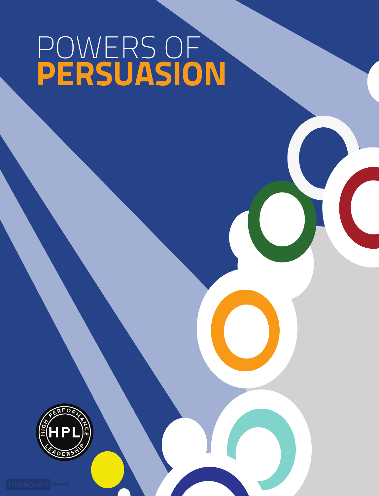## POWERS OF **PERSUASION**

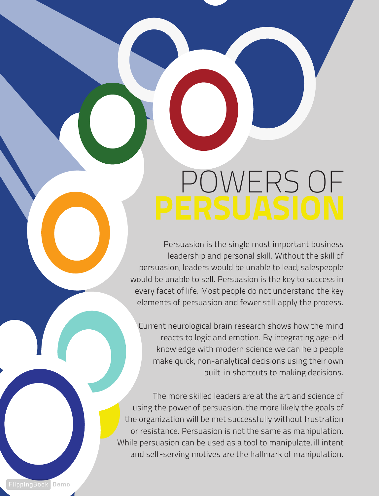# OWERS OF

Persuasion is the single most important business leadership and personal skill. Without the skill of persuasion, leaders would be unable to lead; salespeople would be unable to sell. Persuasion is the key to success in every facet of life. Most people do not understand the key elements of persuasion and fewer still apply the process.

Current neurological brain research shows how the mind reacts to logic and emotion. By integrating age-old knowledge with modern science we can help people make quick, non-analytical decisions using their own built-in shortcuts to making decisions.

The more skilled leaders are at the art and science of using the power of persuasion, the more likely the goals of the organization will be met successfully without frustration or resistance. Persuasion is not the same as manipulation. While persuasion can be used as a tool to manipulate, ill intent and self-serving motives are the hallmark of manipulation.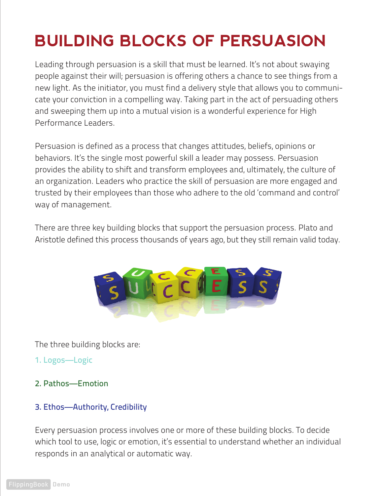## **BUILDING BLOCKS OF PERSUASION**

Leading through persuasion is a skill that must be learned. It's not about swaying people against their will; persuasion is offering others a chance to see things from a new light. As the initiator, you must find a delivery style that allows you to communicate your conviction in a compelling way. Taking part in the act of persuading others and sweeping them up into a mutual vision is a wonderful experience for High Performance Leaders.

Persuasion is defined as a process that changes attitudes, beliefs, opinions or behaviors. It's the single most powerful skill a leader may possess. Persuasion provides the ability to shift and transform employees and, ultimately, the culture of an organization. Leaders who practice the skill of persuasion are more engaged and trusted by their employees than those who adhere to the old 'command and control' way of management.

There are three key building blocks that support the persuasion process. Plato and Aristotle defined this process thousands of years ago, but they still remain valid today.



The three building blocks are:

- 1. Logos—Logic
- 2. Pathos—Emotion

#### 3. Ethos—Authority, Credibility

Every persuasion process involves one or more of these building blocks. To decide which tool to use, logic or emotion, it's essential to understand whether an individual responds in an analytical or automatic way.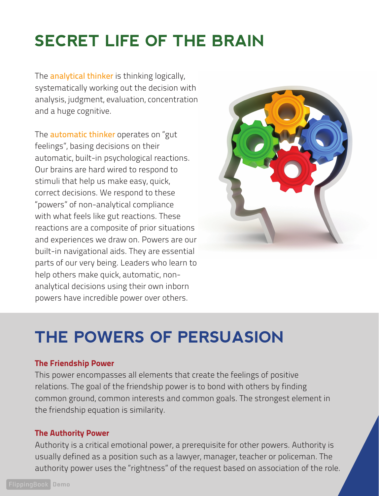## **SECRET LIFE OF THE BRAIN**

The **analytical thinker** is thinking logically, systematically working out the decision with analysis, judgment, evaluation, concentration and a huge cognitive.

The **automatic thinker** operates on "gut feelings", basing decisions on their automatic, built-in psychological reactions. Our brains are hard wired to respond to stimuli that help us make easy, quick, correct decisions. We respond to these "powers" of non-analytical compliance with what feels like gut reactions. These reactions are a composite of prior situations and experiences we draw on. Powers are our built-in navigational aids. They are essential parts of our very being. Leaders who learn to help others make quick, automatic, nonanalytical decisions using their own inborn powers have incredible power over others.



## **THE POWERS OF PERSUASION**

#### The Friendship Power

This power encompasses all elements that create the feelings of positive relations. The goal of the friendship power is to bond with others by finding common ground, common interests and common goals. The strongest element in the friendship equation is similarity.

#### The Authority Power

Authority is a critical emotional power, a prerequisite for other powers. Authority is usually defined as a position such as a lawyer, manager, teacher or policeman. The authority power uses the "rightness" of the request based on association of the role.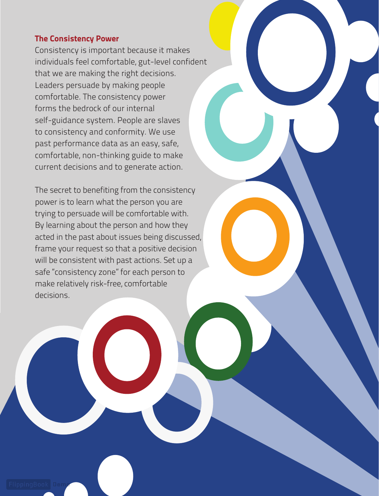#### The Consistency Power

Consistency is important because it makes individuals feel comfortable, gut-level confident that we are making the right decisions. Leaders persuade by making people comfortable. The consistency power forms the bedrock of our internal self-guidance system. People are slaves to consistency and conformity. We use past performance data as an easy, safe, comfortable, non-thinking guide to make current decisions and to generate action.

The secret to benefiting from the consistency power is to learn what the person you are trying to persuade will be comfortable with. By learning about the person and how they acted in the past about issues being discussed, frame your request so that a positive decision will be consistent with past actions. Set up a safe "consistency zone" for each person to make relatively risk-free, comfortable decisions.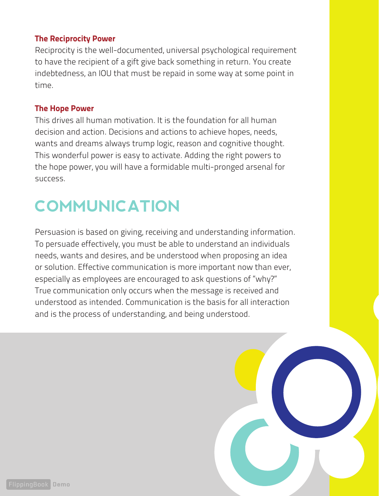#### The Reciprocity Power

Reciprocity is the well-documented, universal psychological requirement to have the recipient of a gift give back something in return. You create indebtedness, an IOU that must be repaid in some way at some point in time.

#### The Hope Power

This drives all human motivation. It is the foundation for all human decision and action. Decisions and actions to achieve hopes, needs, wants and dreams always trump logic, reason and cognitive thought. This wonderful power is easy to activate. Adding the right powers to the hope power, you will have a formidable multi-pronged arsenal for success.

## **COMMUNICATION**

Persuasion is based on giving, receiving and understanding information. To persuade effectively, you must be able to understand an individuals needs, wants and desires, and be understood when proposing an idea or solution. Effective communication is more important now than ever, especially as employees are encouraged to ask questions of "why?" True communication only occurs when the message is received and understood as intended. Communication is the basis for all interaction and is the process of understanding, and being understood.

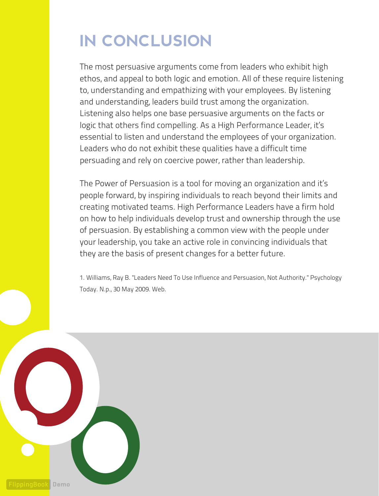## **IN CONCLUSION**

The most persuasive arguments come from leaders who exhibit high ethos, and appeal to both logic and emotion. All of these require listening to, understanding and empathizing with your employees. By listening and understanding, leaders build trust among the organization. Listening also helps one base persuasive arguments on the facts or logic that others find compelling. As a High Performance Leader, it's essential to listen and understand the employees of your organization. Leaders who do not exhibit these qualities have a difficult time persuading and rely on coercive power, rather than leadership.

The Power of Persuasion is a tool for moving an organization and it's people forward, by inspiring individuals to reach beyond their limits and creating motivated teams. High Performance Leaders have a firm hold on how to help individuals develop trust and ownership through the use of persuasion. By establishing a common view with the people under your leadership, you take an active role in convincing individuals that they are the basis of present changes for a better future.

1. Williams, Ray B. "Leaders Need To Use Influence and Persuasion, Not Authority." Psychology Today. N.p., 30 May 2009. Web.